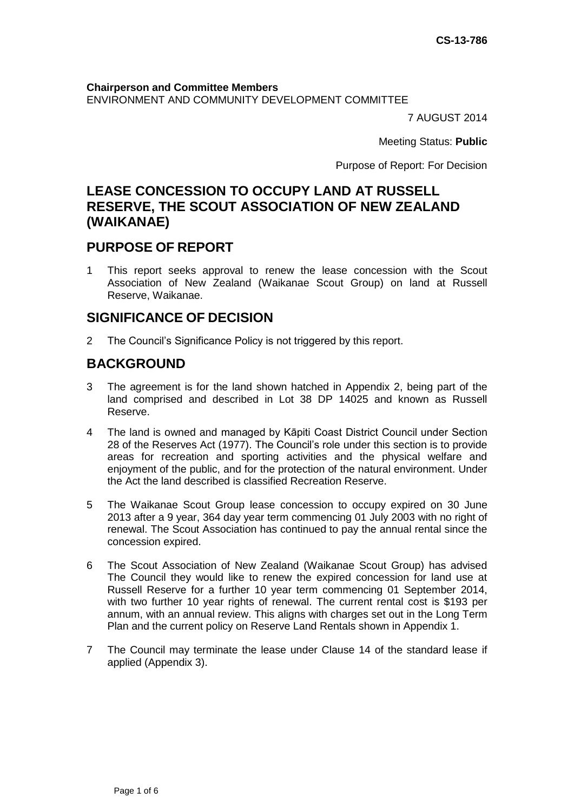**Chairperson and Committee Members** ENVIRONMENT AND COMMUNITY DEVELOPMENT COMMITTEE

7 AUGUST 2014

Meeting Status: **Public**

Purpose of Report: For Decision

# **LEASE CONCESSION TO OCCUPY LAND AT RUSSELL RESERVE, THE SCOUT ASSOCIATION OF NEW ZEALAND (WAIKANAE)**

### **PURPOSE OF REPORT**

1 This report seeks approval to renew the lease concession with the Scout Association of New Zealand (Waikanae Scout Group) on land at Russell Reserve, Waikanae.

## **SIGNIFICANCE OF DECISION**

2 The Council's Significance Policy is not triggered by this report.

## **BACKGROUND**

- 3 The agreement is for the land shown hatched in Appendix 2, being part of the land comprised and described in Lot 38 DP 14025 and known as Russell Reserve.
- 4 The land is owned and managed by Kāpiti Coast District Council under Section 28 of the Reserves Act (1977). The Council's role under this section is to provide areas for recreation and sporting activities and the physical welfare and enjoyment of the public, and for the protection of the natural environment. Under the Act the land described is classified Recreation Reserve.
- 5 The Waikanae Scout Group lease concession to occupy expired on 30 June 2013 after a 9 year, 364 day year term commencing 01 July 2003 with no right of renewal. The Scout Association has continued to pay the annual rental since the concession expired.
- 6 The Scout Association of New Zealand (Waikanae Scout Group) has advised The Council they would like to renew the expired concession for land use at Russell Reserve for a further 10 year term commencing 01 September 2014, with two further 10 year rights of renewal. The current rental cost is \$193 per annum, with an annual review. This aligns with charges set out in the Long Term Plan and the current policy on Reserve Land Rentals shown in Appendix 1.
- 7 The Council may terminate the lease under Clause 14 of the standard lease if applied (Appendix 3).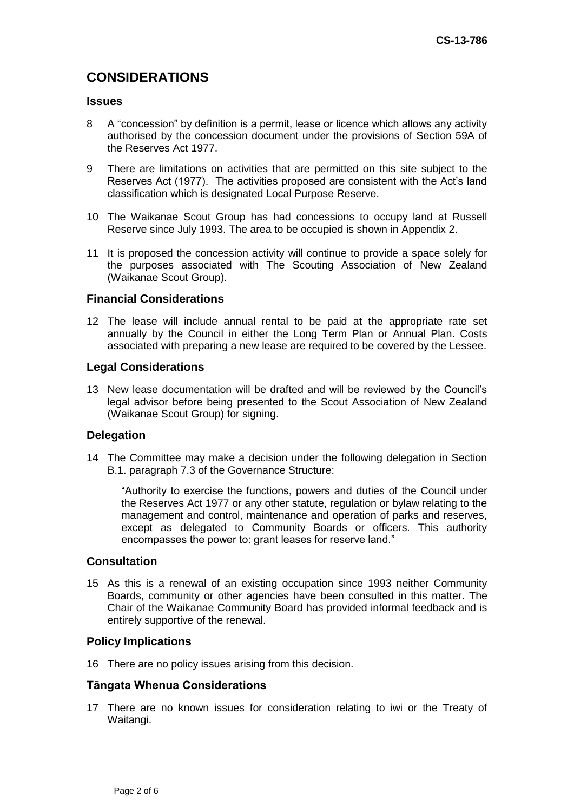# **CONSIDERATIONS**

#### **Issues**

- 8 A "concession" by definition is a permit, lease or licence which allows any activity authorised by the concession document under the provisions of Section 59A of the Reserves Act 1977.
- 9 There are limitations on activities that are permitted on this site subject to the Reserves Act (1977). The activities proposed are consistent with the Act's land classification which is designated Local Purpose Reserve.
- 10 The Waikanae Scout Group has had concessions to occupy land at Russell Reserve since July 1993. The area to be occupied is shown in Appendix 2.
- 11 It is proposed the concession activity will continue to provide a space solely for the purposes associated with The Scouting Association of New Zealand (Waikanae Scout Group).

#### **Financial Considerations**

12 The lease will include annual rental to be paid at the appropriate rate set annually by the Council in either the Long Term Plan or Annual Plan. Costs associated with preparing a new lease are required to be covered by the Lessee.

#### **Legal Considerations**

13 New lease documentation will be drafted and will be reviewed by the Council's legal advisor before being presented to the Scout Association of New Zealand (Waikanae Scout Group) for signing.

#### **Delegation**

14 The Committee may make a decision under the following delegation in Section B.1. paragraph 7.3 of the Governance Structure:

"Authority to exercise the functions, powers and duties of the Council under the Reserves Act 1977 or any other statute, regulation or bylaw relating to the management and control, maintenance and operation of parks and reserves, except as delegated to Community Boards or officers. This authority encompasses the power to: grant leases for reserve land."

#### **Consultation**

15 As this is a renewal of an existing occupation since 1993 neither Community Boards, community or other agencies have been consulted in this matter. The Chair of the Waikanae Community Board has provided informal feedback and is entirely supportive of the renewal.

#### **Policy Implications**

16 There are no policy issues arising from this decision.

#### **Tāngata Whenua Considerations**

17 There are no known issues for consideration relating to iwi or the Treaty of Waitangi.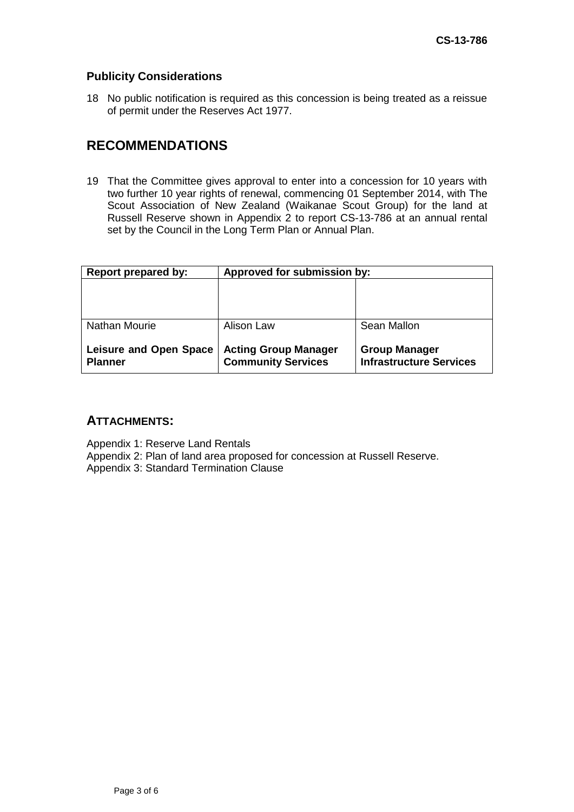### **Publicity Considerations**

18 No public notification is required as this concession is being treated as a reissue of permit under the Reserves Act 1977.

## **RECOMMENDATIONS**

19 That the Committee gives approval to enter into a concession for 10 years with two further 10 year rights of renewal, commencing 01 September 2014, with The Scout Association of New Zealand (Waikanae Scout Group) for the land at Russell Reserve shown in Appendix 2 to report CS-13-786 at an annual rental set by the Council in the Long Term Plan or Annual Plan.

| Report prepared by:                             | Approved for submission by:                              |                                                        |
|-------------------------------------------------|----------------------------------------------------------|--------------------------------------------------------|
|                                                 |                                                          |                                                        |
|                                                 |                                                          |                                                        |
| <b>Nathan Mourie</b>                            | Alison Law                                               | Sean Mallon                                            |
| <b>Leisure and Open Space</b><br><b>Planner</b> | <b>Acting Group Manager</b><br><b>Community Services</b> | <b>Group Manager</b><br><b>Infrastructure Services</b> |

### **ATTACHMENTS:**

Appendix 1: Reserve Land Rentals

Appendix 2: Plan of land area proposed for concession at Russell Reserve.

Appendix 3: Standard Termination Clause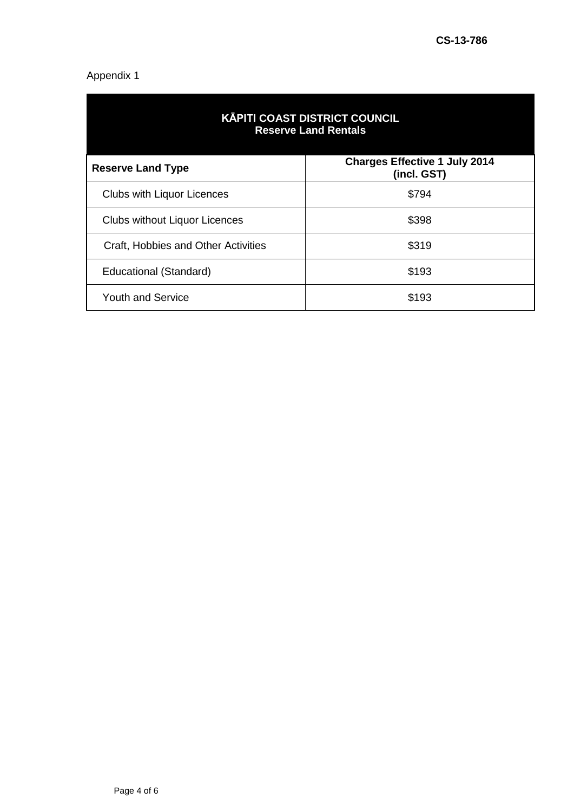### Appendix 1

| <b>KĀPITI COAST DISTRICT COUNCIL</b><br><b>Reserve Land Rentals</b> |                                                     |  |
|---------------------------------------------------------------------|-----------------------------------------------------|--|
| <b>Reserve Land Type</b>                                            | <b>Charges Effective 1 July 2014</b><br>(incl. GST) |  |
| <b>Clubs with Liquor Licences</b>                                   | \$794                                               |  |
| <b>Clubs without Liquor Licences</b>                                | \$398                                               |  |
| Craft, Hobbies and Other Activities                                 | \$319                                               |  |
| Educational (Standard)                                              | \$193                                               |  |
| <b>Youth and Service</b>                                            | \$193                                               |  |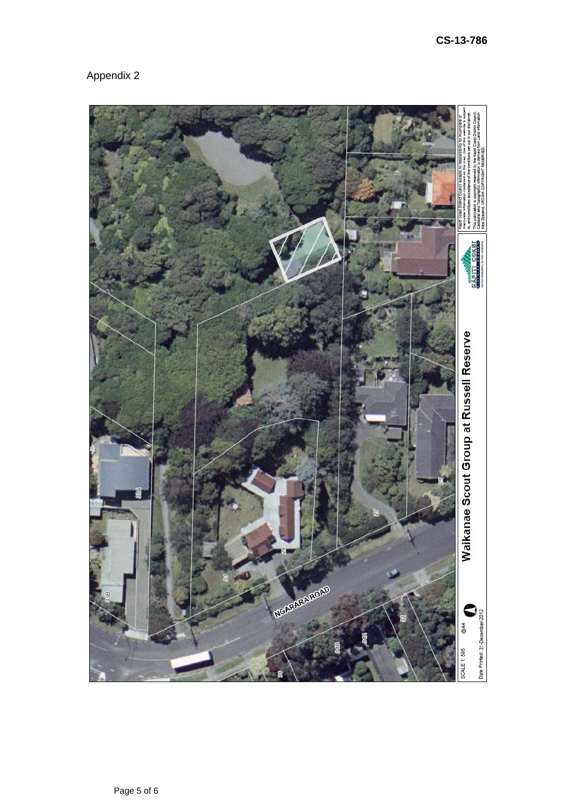